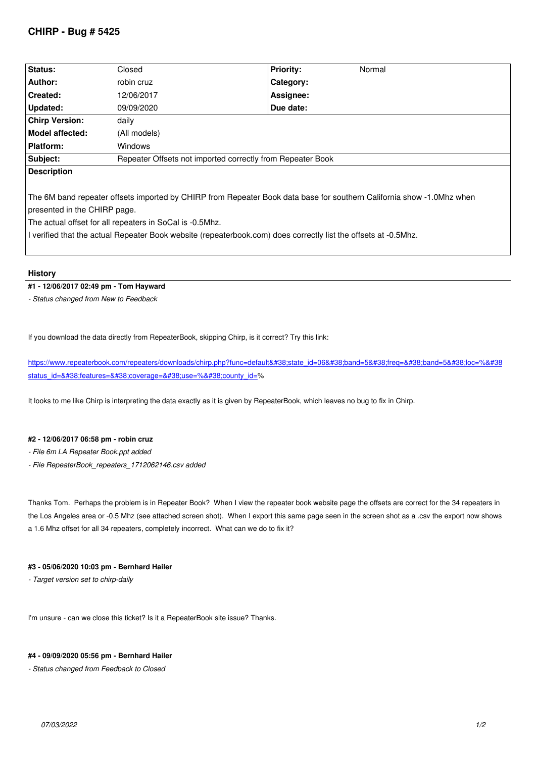| Status:                                                                                                               | Closed                                                     | <b>Priority:</b> | Normal |  |  |  |
|-----------------------------------------------------------------------------------------------------------------------|------------------------------------------------------------|------------------|--------|--|--|--|
| Author:                                                                                                               | robin cruz                                                 | Category:        |        |  |  |  |
| Created:                                                                                                              | 12/06/2017                                                 | Assignee:        |        |  |  |  |
| Updated:                                                                                                              | 09/09/2020                                                 | Due date:        |        |  |  |  |
| <b>Chirp Version:</b>                                                                                                 | daily                                                      |                  |        |  |  |  |
| <b>Model affected:</b>                                                                                                | (All models)                                               |                  |        |  |  |  |
| <b>Platform:</b>                                                                                                      | Windows                                                    |                  |        |  |  |  |
| Subject:                                                                                                              | Repeater Offsets not imported correctly from Repeater Book |                  |        |  |  |  |
| <b>Description</b>                                                                                                    |                                                            |                  |        |  |  |  |
|                                                                                                                       |                                                            |                  |        |  |  |  |
| The 6M band repeater offsets imported by CHIRP from Repeater Book data base for southern California show -1.0Mhz when |                                                            |                  |        |  |  |  |
| presented in the CHIRP page.                                                                                          |                                                            |                  |        |  |  |  |
| The actual offset for all repeaters in SoCal is -0.5Mhz.                                                              |                                                            |                  |        |  |  |  |
| I verified that the actual Repeater Book website (repeaterbook.com) does correctly list the offsets at -0.5Mhz.       |                                                            |                  |        |  |  |  |

## **History**

# **#1 - 12/06/2017 02:49 pm - Tom Hayward**

*- Status changed from New to Feedback*

*If you download the data directly from RepeaterBook, skipping Chirp, is it correct? Try this link:*

https://www.repeaterbook.com/repeaters/downloads/chirp.php?func=default&state\_id=06&band=5&freq=&band=5&loc=%&#38 status\_id=&features=&coverage=&use=%&county\_id=%

*[It looks to me like Chirp is interpreting the data exactly as it is given by RepeaterBook, which leaves no bug to fix in Chirp.](https://www.repeaterbook.com/repeaters/downloads/chirp.php?func=default&state_id=06&band=5&freq=&band=5&loc=%&status_id=&features=&coverage=&use=%&county_id=)*

### **#2 - 12/06/2017 06:58 pm - robin cruz**

- *File 6m LA Repeater Book.ppt added*
- *File RepeaterBook\_repeaters\_1712062146.csv added*

*Thanks Tom. Perhaps the problem is in Repeater Book? When I view the repeater book website page the offsets are correct for the 34 repeaters in the Los Angeles area or -0.5 Mhz (see attached screen shot). When I export this same page seen in the screen shot as a .csv the export now shows a 1.6 Mhz offset for all 34 repeaters, completely incorrect. What can we do to fix it?*

#### **#3 - 05/06/2020 10:03 pm - Bernhard Hailer**

*- Target version set to chirp-daily*

*I'm unsure - can we close this ticket? Is it a RepeaterBook site issue? Thanks.*

#### **#4 - 09/09/2020 05:56 pm - Bernhard Hailer**

*- Status changed from Feedback to Closed*